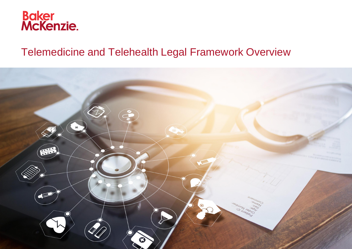

# Telemedicine and Telehealth Legal Framework Overview

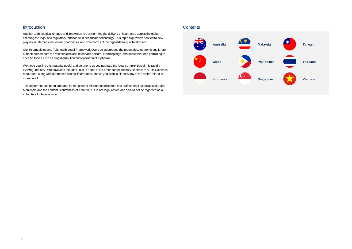# <span id="page-1-0"></span>**Introduction**

Radical technological change and innovation is transforming the delivery of healthcare across the globe, affecting the legal and regulatory landscape in healthcare technology. This rapid digitization has led to new players in telemedicine, online pharmacies and other forms of the digital delivery of healthcare.

Our Telemedicine and Telehealth Legal Framework Overview addresses the recent developments and future outlook across both the telemedicine and telehealth sectors; providing high level considerations pertaining to specific topics such as drug distribution and operation of e-pharma.

We hope you find this material useful and pertinent, as you navigate the legal complexities of this rapidly evolving industry. We have also included links to some of our other complimentary Healthcare & Life Sciences resources, along with our team's contact information, should you wish to discuss any of the topics raised in more detail.

This document has been prepared for the general information of clients and professional associates of Baker McKenzie and the content is current as of April 2022. It is not legal advice and should not be regarded as a substitute for legal advice.

# **Contents**

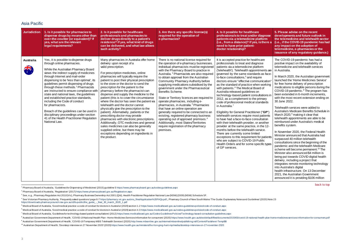# Asia Pacific

<span id="page-2-0"></span>

| <b>Jurisdiction</b> | 1. Is it possible for pharmacies to<br>dispense drugs by means other than<br>over-the-counter (or equivalent)? If<br>yes, what are the relevant<br>legal requirements?                                                                                                                                                                                                                                                                                                                                                                                                                                                                                                | 2. Is it possible for healthcare<br>professionals and pharmacies to<br>deliver drugs directly to a patient's<br>residence? If yes, what kind of drugs<br>can be delivered, and what law allows<br>such activity?                                                                                                                                                                                                                                                                                                                                                                                                                                                                                                                                                                                                                                                                     | 3. Are there any specific license(s)<br>required for the operation of<br>e-pharmacies?                                                                                                                                                                                                                                                                                                                                                                                                                                                                                                                                                                                                                                                                                                                                                           | 4. Is it possible for healthcare<br>professionals to treat and/or diagnose<br>patients via a telemedicine platform<br>(i.e., from a distance)? If yes, is there a<br>need to have prior patient-<br>doctor relationship?                                                                                                                                                                                                                                                                                                                                                                                                                                                                                                                                                                                                                                                                                                                                                                                                                                                         | 5. Please advise on the recent<br>developments and future outlook in<br>the telemedicine and telehealth sector<br>(i.e., if the COVID-19 pandemic has had<br>any impact on the adoption of<br>telemedicine, e-pharmacies or the<br>issuance of any regulatory guidance.)                                                                                                                                                                                                                                                                                                                                                                                                                                                                                                                                                                                                                                                                                                                                                                                                                                                                                                                                                                                                                            |
|---------------------|-----------------------------------------------------------------------------------------------------------------------------------------------------------------------------------------------------------------------------------------------------------------------------------------------------------------------------------------------------------------------------------------------------------------------------------------------------------------------------------------------------------------------------------------------------------------------------------------------------------------------------------------------------------------------|--------------------------------------------------------------------------------------------------------------------------------------------------------------------------------------------------------------------------------------------------------------------------------------------------------------------------------------------------------------------------------------------------------------------------------------------------------------------------------------------------------------------------------------------------------------------------------------------------------------------------------------------------------------------------------------------------------------------------------------------------------------------------------------------------------------------------------------------------------------------------------------|--------------------------------------------------------------------------------------------------------------------------------------------------------------------------------------------------------------------------------------------------------------------------------------------------------------------------------------------------------------------------------------------------------------------------------------------------------------------------------------------------------------------------------------------------------------------------------------------------------------------------------------------------------------------------------------------------------------------------------------------------------------------------------------------------------------------------------------------------|----------------------------------------------------------------------------------------------------------------------------------------------------------------------------------------------------------------------------------------------------------------------------------------------------------------------------------------------------------------------------------------------------------------------------------------------------------------------------------------------------------------------------------------------------------------------------------------------------------------------------------------------------------------------------------------------------------------------------------------------------------------------------------------------------------------------------------------------------------------------------------------------------------------------------------------------------------------------------------------------------------------------------------------------------------------------------------|-----------------------------------------------------------------------------------------------------------------------------------------------------------------------------------------------------------------------------------------------------------------------------------------------------------------------------------------------------------------------------------------------------------------------------------------------------------------------------------------------------------------------------------------------------------------------------------------------------------------------------------------------------------------------------------------------------------------------------------------------------------------------------------------------------------------------------------------------------------------------------------------------------------------------------------------------------------------------------------------------------------------------------------------------------------------------------------------------------------------------------------------------------------------------------------------------------------------------------------------------------------------------------------------------------|
| <b>Australia</b>    | Yes, it is possible to dispense drugs<br>through online pharmacies.<br>While the Australian Pharmacy Board<br>views the indirect supply of medicines<br>through Internet and mail-order<br>dispensing to be 'less than optimal', its<br>guidelines permit dispensing of drugs<br>through these methods. <sup>1</sup> Pharmacists<br>are instructed to ensure compliance with<br>state and national laws, the guidelines<br>and established practice standards,<br>including the Code of conduct<br>for pharmacists.<br>Breach of the guidelines can be used in<br>disciplinary proceedings under section<br>41 of the Health Practitioner Regulation<br>National Law. | Many pharmacies in Australia offer home<br>delivery upon receipt of a<br>valid prescription.<br>For prescription medicines, online<br>pharmacies will typically require the<br>patient to post their physical prescription<br>to the store or the doctor to send the<br>prescription for the patient to the<br>pharmacy before the pharmacist can<br>dispense and supply the medicine to the<br>patient (this is to cover the circumstance<br>where the doctor has seen the patient via<br>telehealth and the doctor cannot<br>physically give the prescription to the<br>patient). Alternatively, patients or the<br>prescribing doctor may provide<br>pharmacies with electronic prescriptions.<br>Additionally, OTC medicines and general<br>sales medicines can also be generally<br>supplied online, but there may be<br>exceptions depending on ingredients in<br>the product. | There is no national license required for<br>the operation of e-pharmacy businesses.<br>Individual pharmacists must be registered<br>with the Pharmacy Board to practice in<br>Australia. <sup>2</sup> Pharmacists are also required<br>to obtain approval from the Australian<br>Community Pharmacy Authority before<br>supplying medications subsidised by the<br>government under the Pharmaceutical<br>Benefits Scheme.<br>State or Territory licences are required to<br>operate pharmacies, including e-<br>pharmacies, in Australia. <sup>3</sup> Pharmacies<br>that have an online operation are<br>generally required to be connected to an<br>existing, registered pharmacy business<br>operating out of approved premises. <sup>4</sup><br>Additionally, most States/Territories<br>require registration of the pharmacy<br>premises. | It is accepted practice for healthcare<br>professionals to treat and diagnose<br>patients via a telemedicine platform<br>('telehealth'). Telehealth appointments are<br>governed by the same standards as face-<br>to-face consultations, <sup>5</sup> and require<br>doctors ensure "effective communication<br>as the standard of practice when working<br>with patients. <sup>6</sup> The Medical Board of<br>Australia released guidelines on<br>technology-based patient consultations in<br>2012, as a complement to the primary<br>code of professional medical standards<br>in Australia. <sup>7</sup><br>Eligibility for General Practitioner ("GP"<br>telehealth services require most patients<br>to have had a face-to-face consultation<br>with their telehealth provider, or another<br>provider at the same practice, in the 12-<br>months before the telehealth service.<br>There are currently some limited<br>exceptions to this requirement for patient<br>who are subject to COVID-19 Public<br>Health Orders and for some specific types<br>of GP services. | The COVID-19 pandemic has had a<br>positive impact on the availability of<br>telemedicine and telehealth services<br>in Australia.<br>In March 2020, the Australian government<br>launched the 'Home Medicines Service'<br>for free home delivery of prescription<br>medications to eligible persons during the<br>COVID-19 pandemic. <sup>8</sup> The program has<br>been extended in 6-month increments,<br>with the most recent extension ending on<br>30 June 2022.<br>Telehealth services were added to<br>Australia's Medicare Benefits Schedule in<br>March 2020, <sup>9</sup> making it clear that<br>telehealth appointments are able to be<br>reimbursed under Australia's medical<br>benefits system.<br>In November 2020, the Federal Health<br>Minister announced that Australia had<br>surpassed 40 million telehealth<br>consultations since the beginning of the<br>pandemic and the telehealth Medicare<br>scheme will become permanent. <sup>10</sup> The<br>Minister also announced \$4 million is<br>being put towards COVID digital health<br>delivery, including a project that<br>integrates remote monitoring technology<br>into Australia's digital<br>health infrastructure. On 13 December<br>2021, the Australian Government<br>announced it is providing \$106 million |

l <sup>1</sup> Pharmacy Board of Australia, 'Guidelines for Dispensing of Medicines' (2015) guideline [5 https://www.pharmacyboard.gov.au/codes-guidelines.aspx](https://www.pharmacyboard.gov.au/codes-guidelines.aspx)

<sup>4</sup> See Victorian Pharmacy Authority, 'Frequently asked questions' page 6-[7 https://pharmacy.vic.gov.au/cms\\_files/Application%20FAQs.pdf](https://pharmacy.vic.gov.au/cms_files/Application%20FAQs.pdf),; Pharmacy Council of New South Wales 'The Guide: Explanatory Notes and Guidelines' (20 [https://downloads.pharmacycouncil.nsw.gov.au/s3fs-public/the\\_guide\\_-\\_final\\_30\\_march\\_2020\\_1.pdf](https://downloads.pharmacycouncil.nsw.gov.au/s3fs-public/the_guide_-_final_30_march_2020_1.pdf)

<sup>2</sup> Pharmacy Board of Australia, 'Registration' (201[7\) https://www.pharmacyboard.gov.au/Registration.aspx](https://www.pharmacyboard.gov.au/Registration.aspx)

<sup>&</sup>lt;sup>3</sup> See, e.g., Pharmacy Regulation Act 2010 (Vic), Pharmacy Business Ownership Act 2001 (Qld), Health Practitioner Regulation National Law (NSW) (2009) (NSW) Schedule 5F.

<sup>5</sup> Medical Board of Australia, 'Good medical practice: a code of conduct for doctors in Australia' (2020) section 1.[2 https://www.medicalboard.gov.au/codes-guidelines-policies/code-of-conduct.aspx](https://www.medicalboard.gov.au/codes-guidelines-policies/code-of-conduct.aspx)

<sup>&</sup>lt;sup>6</sup> Medical Board of Australia, 'Good medical practice: a code of conduct for doctors in Australia' (2020) section 4.[3 https://www.medicalboard.gov.au/codes-guidelines-policies/code-of-conduct.aspx](https://www.medicalboard.gov.au/codes-guidelines-policies/code-of-conduct.aspx)

<sup>7</sup> Medical Board of Australia, 'Guidelinesfor technology-based patient consultations' (2012[\) https://www.medicalboard.gov.au/Codes-Guidelines-Policies/Technology-based-consultation-guidelines.aspx](https://www.medicalboard.gov.au/Codes-Guidelines-Policies/Technology-based-consultation-guidelines.aspx)

<sup>&</sup>lt;sup>8</sup> Australian Government Department of Health, 'COVID-19 National Health Plan - Home Medicines Services Information for consumers' (2020) https://www.health.gov.au/sites/default/files/documents/2020/03/covid-19-national-h

<sup>9</sup> Australian Government Department of Health, 'COVID-19 Temporary MBS Telehealth Services' (2020[\) http://www.mbsonline.gov.au/internet/mbsonline/publishing.nsf/Content/Factsheet-TempBB](http://www.mbsonline.gov.au/internet/mbsonline/publishing.nsf/Content/Factsheet-TempBB)

<sup>&</sup>lt;sup>10</sup> Australian Department of Health, 'Doorstep interview on 27 November 2020' (2020[\) https://www.health.gov.au/ministers/the-hon-greg-hunt-mp/media/doorstop-interview-on-27-november-2020](https://www.health.gov.au/ministers/the-hon-greg-hunt-mp/media/doorstop-interview-on-27-november-2020)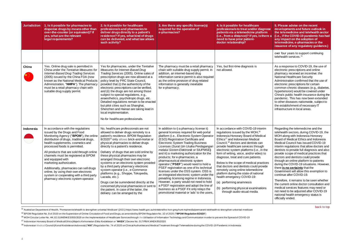<span id="page-3-0"></span>

| <b>Jurisdiction</b> | 1. Is it possible for pharmacies to<br>dispense drugs by means other than<br>over-the-counter (or equivalent)? If<br>yes, what are the relevant<br>legal requirements?                                                                                                                                                                                                                                                                                                                                                                       | 2. Is it possible for healthcare<br>professionals and pharmacies to<br>deliver drugs directly to a patient's<br>residence? If yes, what kind of drugs<br>can be delivered, and what law allows<br>such activity?                                                                                                                                                                                                                                                                                                                                                                                                                                                                                                                               | 3. Are there any specific license(s)<br>required for the operation of<br>e-pharmacies?                                                                                                                                                                                                                                                                                                                                                                                                                                                                                                                                                                                                                                                                                                                                                   | 4. Is it possible for healthcare<br>professionals to treat and/or diagnose<br>patients via a telemedicine platform<br>(i.e., from a distance)? If yes, is there a<br>need to have prior patient-<br>doctor relationship?                                                                                                                                                                                                                                                                                                                                                                                                                                                                                |
|---------------------|----------------------------------------------------------------------------------------------------------------------------------------------------------------------------------------------------------------------------------------------------------------------------------------------------------------------------------------------------------------------------------------------------------------------------------------------------------------------------------------------------------------------------------------------|------------------------------------------------------------------------------------------------------------------------------------------------------------------------------------------------------------------------------------------------------------------------------------------------------------------------------------------------------------------------------------------------------------------------------------------------------------------------------------------------------------------------------------------------------------------------------------------------------------------------------------------------------------------------------------------------------------------------------------------------|------------------------------------------------------------------------------------------------------------------------------------------------------------------------------------------------------------------------------------------------------------------------------------------------------------------------------------------------------------------------------------------------------------------------------------------------------------------------------------------------------------------------------------------------------------------------------------------------------------------------------------------------------------------------------------------------------------------------------------------------------------------------------------------------------------------------------------------|---------------------------------------------------------------------------------------------------------------------------------------------------------------------------------------------------------------------------------------------------------------------------------------------------------------------------------------------------------------------------------------------------------------------------------------------------------------------------------------------------------------------------------------------------------------------------------------------------------------------------------------------------------------------------------------------------------|
| China               | Yes. Online drug sale is permitted in<br>China under the Tentative Measures for                                                                                                                                                                                                                                                                                                                                                                                                                                                              | Yes for pharmacies, under the Tentative<br>Measures for Internet-Based Drug                                                                                                                                                                                                                                                                                                                                                                                                                                                                                                                                                                                                                                                                    | The pharmacy must be a retail pharmacy<br>chain with suitable drug supply permit. In                                                                                                                                                                                                                                                                                                                                                                                                                                                                                                                                                                                                                                                                                                                                                     | Yes, but first-time diagnosis is<br>not allowed.                                                                                                                                                                                                                                                                                                                                                                                                                                                                                                                                                                                                                                                        |
|                     | <b>Internet-Based Drug Trading Services</b><br>(2005) issued by the China FDA (now<br>known as the National Medical Products<br>Administration, "NMPA"). The pharmacy<br>must be a retail pharmacy chain with<br>suitable drug supply permit.                                                                                                                                                                                                                                                                                                | Trading Services (2005). Online sales of<br>prescription drugs are now allowed at a<br>policy level by PRC State Council,<br>provided that (i) the authenticity of the<br>electronic prescriptions can be verified,<br>and (ii) the drugs are not among those<br>subject to special regulations, e.g.,<br>anaesthetics, psychotropic drugs, etc.<br>Detailed regulations remain to be enacted<br>but pilot cities such as Shanghai,<br>Shenzhen and Hainan are taking lead in<br>local implementation.<br>No for healthcare professionals.                                                                                                                                                                                                     | addition, an internet-based drug<br>information service permit is also required<br>as the online provision of drug-related<br>information is generally inevitable<br>for e-pharmacy.                                                                                                                                                                                                                                                                                                                                                                                                                                                                                                                                                                                                                                                     |                                                                                                                                                                                                                                                                                                                                                                                                                                                                                                                                                                                                                                                                                                         |
| Indonesia           | In accordance with the regulations<br>issued by the Drugs and Food<br>Monitoring Agency ("BPOM"), the online<br>distribution of drugs, traditional drugs,<br>health supplements, cosmetics and<br>processed foods is permitted.<br>All products that are sold through online<br>channels must be registered at BPOM<br>and equipped with<br>marketing authorization.<br>Additionally, pharmacies can sell drugs<br>online, by using their own electronic<br>system or cooperating with a third party<br>pharmacy electronic system operator. | No, healthcare professionals are not<br>allowed to deliver drugs remotely to a<br>patient's residence. BPOM Regulation<br>8/2020 <sup>12</sup> only allows brick-and-mortar or<br>physical pharmacies to deliver drugs<br>directly to a patient's residence.<br>Delivery of drugs that are sold online by<br>these physical pharmacies may be<br>arranged through their own electronic<br>systems or an electronic system provided<br>by a third party pharmacy electronic<br>system operator (i.e., e-Commerce<br>platforms (e.g., Shoppe, Tokopedia,<br>Lazada, etc.).<br>Drugs can be surrendered directly at the<br>concerned physical pharmacies or sent to<br>the patient. In case of the latter, the<br>delivery can be arranged by the | In addition to i) a pharmacy license ii)<br>general licenses required for web portal<br>platform (i.e., Electronic System Operator<br>(ESO) Registration Certificate and<br><b>Electronic System Trading Business</b><br>Licenses (Surat Izin Usaha Perdagangan<br>melalui Sistem Elektronik or SIUPMSE)<br>and iii) a marketing authorization for the<br>products; for e-pharmacies, a<br>pharmaceutical electronic system<br>operator ("PSEF") would need to hold a<br>PSEF registration as one of its technical<br>licenses under the OSS system. OSS is<br>an integrated electronic system under the<br>prevailing licensing regime in Indonesia.<br>However, a party would not need to hold<br>a PSEF registration and adopt the line of<br>business as a PSEF if it only relays the<br>promotional material or 'ads' to the users, | In accordance with COVID-19 interim<br>regulations issued by the MOH, <sup>16</sup><br>Indonesia Honorary Board of Medical<br>Ethics <sup>17</sup> and Indonesian Medical<br>Council, <sup>18</sup> doctors and dentists can<br>provide healthcare services through<br>electronic system platforms (i.e., in the<br>form of writing, voice, and/or video) to<br>diagnose, treat and cure patients.<br>Below is the scope of medical practices<br>that doctors and dentists could provide<br>remotely using online telemedicine<br>platform during the state of national<br>health emergency COVID-19:<br>(a) performing anamnesis<br>(b) performing physical examinations<br>through audio-visual media |

<sup>&</sup>lt;sup>11</sup> Australian Department of Health, 'Permanent telehealth to strengthen universal Medicare' (2021) https://www.health.gov.au/ministers/the-hon-greg-hunt-mp/media/permanent-telehealth-to-strengthen-universal-medicare

<span id="page-3-1"></span>l

| nose<br>$\overline{\mathsf{m}}$<br>ere a | 5. Please advise on the recent<br>developments and future outlook in<br>the telemedicine and telehealth sector<br>(i.e., if the COVID-19 pandemic has had<br>any impact on the adoption of<br>telemedicine, e-pharmacies or the<br>issuance of any regulatory guidance.)                                                                                                                                                                                                                                                                                                         |
|------------------------------------------|----------------------------------------------------------------------------------------------------------------------------------------------------------------------------------------------------------------------------------------------------------------------------------------------------------------------------------------------------------------------------------------------------------------------------------------------------------------------------------------------------------------------------------------------------------------------------------|
|                                          | over four years to support continuing<br>telehealth services. <sup>11</sup>                                                                                                                                                                                                                                                                                                                                                                                                                                                                                                      |
|                                          | As a response to COVID-19, the use of<br>electronic prescriptions and online<br>pharmacy received an incentive: the<br><b>National Healthcare Security</b><br>Administration confirmed that the use of<br>electronic prescriptions for certain<br>common chronic diseases (e.g., diabetes,<br>hypertension) would be covered under<br>China's public health insurance during the<br>pandemic. This has now been extended<br>to other diseases nationwide, subject to<br>the establishment of necessary IT<br>infrastructure in local areas.                                      |
| 'n<br>ıl<br>he<br>o<br>ces<br>de         | Regarding the telemedicine and the<br>telehealth sectors, during COVID-19, the<br>MOH along with Indonesia Honorary<br>Board of Medical Ethics and Indonesia<br>Medical Council has issued COVID-19<br>interim regulations that allow doctors and<br>dentists to provide full diagnosis and also<br>provide scope of medical practices that<br>doctors and dentists could provide<br>through an online platform to patients<br>during the COVID-19 situations. However,<br>there is no certainty that the<br>Government will allow this exemption to<br>continue after COVID-19. |
| ١S                                       | Therefore, it remains to be seen whether<br>the current online doctor consultation and<br>medical services features may need or<br>not need to be adjusted after COVID-19<br>national health emergency status is<br>officially ended.                                                                                                                                                                                                                                                                                                                                            |

<sup>12</sup> BPOM Regulation No. 8 of 2020 on the Supervision of Online Circulation of Food and Drugs, as amended by BPOM Regulation No. 32 of 2020 (**"BPOM Regulation 8/2020**")

<sup>&</sup>lt;sup>16</sup> MOH Circular Letter No. HK.02.01/MENKES/303/2020 on the Implementation of Healthcare Services through the Utilisation of Information Technology and Communication in order to prevent the Spread of COVID-19

<sup>17</sup> Indonesian Honorary Board of Medical Ethics (*Majelis Kehormatan Etika Kedokteran* or "**MKEK**") Decree No. 017/PB/K.MKEK/05/2020

<sup>&</sup>lt;sup>18</sup> Indonesian Medical Council (*Konsil Kedokteran Indonesia*) ("KKI") Regulation No. 74 of 2020 on Clinical Authorities and Medical Treatment through Telemedicine during the COVID-19 Pandemic in Indonesia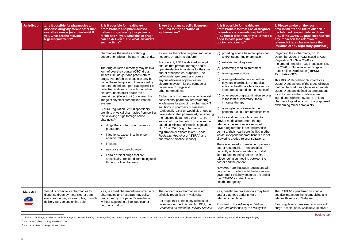| <b>Jurisdiction</b> | 1. Is it possible for pharmacies to<br>dispense drugs by means other than<br>over-the-counter (or equivalent)? If<br>yes, what are the relevant<br>legal requirements? | 2. Is it possible for healthcare<br>professionals and pharmacies to<br>deliver drugs directly to a patient's<br>residence? If yes, what kind of drugs<br>can be delivered, and what law allows<br>such activity?                                                                                                                                                                                                                                                                                                                                                                                                                                                                                                                                                                                                                                                                                                                                                                                                | 3. Are there any specific license(s)<br>required for the operation of<br>e-pharmacies?                                                                                                                                                                                                                                                                                                                                                                                                                                                                                                                                                                                                                                                                                                                                                                                                                                                                    | 4. Is it possible for healthcare<br>professionals to treat and/or diagnose<br>patients via a telemedicine platform<br>(i.e., from a distance)? If yes, is there a<br>need to have prior patient-<br>doctor relationship?                                                                                                                                                                                                                                                                                                                                                                                                                                                                                                                                                                                                                                                                                                                                                                                                                                                                                                                                                                                                                                                       |
|---------------------|------------------------------------------------------------------------------------------------------------------------------------------------------------------------|-----------------------------------------------------------------------------------------------------------------------------------------------------------------------------------------------------------------------------------------------------------------------------------------------------------------------------------------------------------------------------------------------------------------------------------------------------------------------------------------------------------------------------------------------------------------------------------------------------------------------------------------------------------------------------------------------------------------------------------------------------------------------------------------------------------------------------------------------------------------------------------------------------------------------------------------------------------------------------------------------------------------|-----------------------------------------------------------------------------------------------------------------------------------------------------------------------------------------------------------------------------------------------------------------------------------------------------------------------------------------------------------------------------------------------------------------------------------------------------------------------------------------------------------------------------------------------------------------------------------------------------------------------------------------------------------------------------------------------------------------------------------------------------------------------------------------------------------------------------------------------------------------------------------------------------------------------------------------------------------|--------------------------------------------------------------------------------------------------------------------------------------------------------------------------------------------------------------------------------------------------------------------------------------------------------------------------------------------------------------------------------------------------------------------------------------------------------------------------------------------------------------------------------------------------------------------------------------------------------------------------------------------------------------------------------------------------------------------------------------------------------------------------------------------------------------------------------------------------------------------------------------------------------------------------------------------------------------------------------------------------------------------------------------------------------------------------------------------------------------------------------------------------------------------------------------------------------------------------------------------------------------------------------|
|                     |                                                                                                                                                                        | pharmacies themselves or through<br>cooperation with a third party legal entity.<br>The drug delivered remotely may be in a<br>form of over-the-counter (OTC) drugs,<br>limited OTC drugs <sup>13</sup> and potent/ethical<br>drugs. Potent/ethical drugs can only be<br>issued based on prescriptions issued by<br>doctors. Therefore, upon placing order of<br>potent/ethical drugs through the online<br>platform, users must attach the e-<br>prescription (if electronic) or upload the<br>image of physical prescription into the<br>system. <sup>14</sup><br>BPOM Regulation 8/2020 specifically<br>prohibits physical pharmacies from selling<br>the following drugs through online<br>channels: <sup>15</sup><br>drugs that contain pharmaceutical<br>$\bullet$<br>precursors<br>injections, except insulin for self-<br>administration<br>implants<br>narcotics and psychotropic<br>$\bullet$<br>certain ethical drugs that are<br>specifically prohibited from being sold<br>through online channels | as long as the online drug transaction is<br>not done through its platform.<br>For context, PSEF is defined as legal<br>entities that provide, manage and/or<br>operate electronic systems for their own<br>and/or other parties' purposes. The<br>definition is very broad and covers<br>anyone who runs or provides an<br>electronic system for the purpose of<br>online sale of drugs and<br>other commodities.<br>E-pharmacy businesses can only assist<br>conventional pharmacy stores or drug<br>wholesalers by providing e-pharmacy IT<br>solutions to pharmacy businesses.<br>Additionally, a PSEF would also need to<br>have a dedicated pharmacist, considering<br>the required documents that must be<br>submitted to obtain a PSEF registration<br>based on Minister of Health Regulation<br>No. 14 of 2021 (e.g., pharmacist<br>registration certificate (Surat Tanda<br>Registrasi Apoteker or "STRA") and<br>pharmacist practice license). | (c) providing advice based on physical<br>and/or supporting examination<br>(d) establishing diagnoses<br>(e) performing medical treatment<br>issuing prescriptions<br>(f)<br>(g) issuing referral letters for further<br>physical examination or medical<br>action at healthcare facilities and/or<br>laboratories based on the results of<br>other supporting examination services<br>in the form of laboratory, radio<br>imaging, therapy<br>(i)<br>issuing letter of illness to their<br>patients, i.e., but are restricted from<br>Doctors and dentists who intend to<br>provide medical treatment through<br>telemedicine services are required to<br>have a registration letter and practice<br>permit at their healthcare facility. In other<br>words, independent practitioners are not<br>allowed to provide teleconsultations.<br>There is no need to have a prior patient-<br>doctor relationship. There are also<br>currently no laws mandating an initial<br>face-to-face meeting before the first<br>teleconsultation meeting between the<br>doctor and the patient.<br>However, note that such regulations will<br>only remain in effect until the Indonesian<br>government officially declares the end of<br>the COVID-19 state of public<br>health emergency. |
| Malaysia            | Yes, it is possible for pharmacies to<br>dispense drugs by means other than<br>over-the-counter, for examples, through<br>delivery service and online sale.            | Yes, licensed pharmacists in community<br>pharmacies and hospitals may deliver<br>drugs directly to a patient's residence<br>without appointing a licensed courier<br>company to do so.                                                                                                                                                                                                                                                                                                                                                                                                                                                                                                                                                                                                                                                                                                                                                                                                                         | The concept of e-pharmacies is not<br>officially recognised in Malaysia.<br>For drugs that contain any scheduled<br>poison under the Poisons Act 1952, the<br>Guidelines on Medicine Delivery Service                                                                                                                                                                                                                                                                                                                                                                                                                                                                                                                                                                                                                                                                                                                                                     | Yes, healthcare professionals may treat<br>and/or diagnose patients via a<br>telemedicine platform.<br>Pursuant to the Advisory on Virtual<br>Consultation issued by the Malaysian                                                                                                                                                                                                                                                                                                                                                                                                                                                                                                                                                                                                                                                                                                                                                                                                                                                                                                                                                                                                                                                                                             |

<span id="page-4-0"></span>l <sup>13</sup> Limited OTC drugs, also known aslist W drugs (W: Waarschuwing= warning/alert) are potent drugsthat can be purchased without a doctor's prescription, but users must pay attention to the drug information on the packagin

| <b>ose</b><br>re a  | 5. Please advise on the recent<br>developments and future outlook in<br>the telemedicine and telehealth sector<br>(i.e., if the COVID-19 pandemic has had<br>any impact on the adoption of<br>telemedicine, e-pharmacies or the<br>issuance of any regulatory guidance.)                                                             |
|---------------------|--------------------------------------------------------------------------------------------------------------------------------------------------------------------------------------------------------------------------------------------------------------------------------------------------------------------------------------|
| al                  | Regarding the e-pharmacy, on 30<br>December 2020, BPOM issued BPOM<br>Regulation No. 32 of 2020 as<br>the amendment of BPOM Regulation No.<br>8 of 2020 on Supervision of Drugs and<br>Food Online Distribution ("BPOM<br>Regulation 32").                                                                                           |
| 'or<br>οf<br>vices  | This BPOM Regulation 32 introduces<br>Quasi-Drugs as one of the types of drugs<br>that can be sold through online channels.<br>Quasi-Drugs are defined as preparations<br>(or substances) that contain active<br>ingredients with non-systemic or local<br>pharmacology effects, with the purpose of<br>overcoming minor complaints. |
| m                   |                                                                                                                                                                                                                                                                                                                                      |
|                     |                                                                                                                                                                                                                                                                                                                                      |
| her<br>not          |                                                                                                                                                                                                                                                                                                                                      |
| nt-                 |                                                                                                                                                                                                                                                                                                                                      |
|                     |                                                                                                                                                                                                                                                                                                                                      |
| vill<br>ian<br>l of |                                                                                                                                                                                                                                                                                                                                      |
| eat                 | The COVID-19 pandemic has had a<br>positive impact on the telemedicine and<br>telehealth sector in Malaysia.                                                                                                                                                                                                                         |
|                     | Existing players have seen a significant<br>surge in their users, while several private                                                                                                                                                                                                                                              |

<sup>14</sup> Article 8 (1) of BPOM Regulation 8/2020.

<sup>15</sup> Article 27 of BPOM Regulation 8/2020.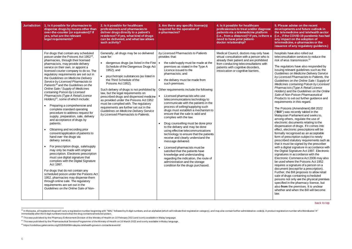| <b>Jurisdiction</b> | 1. Is it possible for pharmacies to<br>dispense drugs by means other than<br>over-the-counter (or equivalent)? If<br>yes, what are the relevant<br>legal requirements?                                                                                                                                                                                                                                                                                                                                                                                                                                                                                                                                                                                                                                                                                                                                                                                                                                                                                                                                                                                                                                                                                                                                                                                 | 2. Is it possible for healthcare<br>professionals and pharmacies to<br>deliver drugs directly to a patient's<br>residence? If yes, what kind of drugs<br>can be delivered, and what law allows<br>such activity?                                                                                                                                                                                                                                                                                                                                                                                       | 3. Are there any specific license(s)<br>required for the operation of<br>e-pharmacies?                                                                                                                                                                                                                                                                                                                                                                                                                                                                                                                                                                                                                                                                                                                                                                                                                                                                                           | 4. Is it possible for healthcare<br>professionals to treat and/or diagnose<br>patients via a telemedicine platform<br>(i.e., from a distance)? If yes, is there a<br>need to have prior patient-<br>doctor relationship?                               | 5. Please advise on the recent<br>developments and future outlook in<br>the telemedicine and telehealth sector<br>(i.e., if the COVID-19 pandemic has had<br>any impact on the adoption of<br>telemedicine, e-pharmacies or the<br>issuance of any regulatory guidance.)                                                                                                                                                                                                                                                                                                                                                                                                                                                                                                                                                                                                                                                                                                                                                                                                                                                                                                                                                                                                                                                                                                                                                                                                                                                                                                                                                              |
|---------------------|--------------------------------------------------------------------------------------------------------------------------------------------------------------------------------------------------------------------------------------------------------------------------------------------------------------------------------------------------------------------------------------------------------------------------------------------------------------------------------------------------------------------------------------------------------------------------------------------------------------------------------------------------------------------------------------------------------------------------------------------------------------------------------------------------------------------------------------------------------------------------------------------------------------------------------------------------------------------------------------------------------------------------------------------------------------------------------------------------------------------------------------------------------------------------------------------------------------------------------------------------------------------------------------------------------------------------------------------------------|--------------------------------------------------------------------------------------------------------------------------------------------------------------------------------------------------------------------------------------------------------------------------------------------------------------------------------------------------------------------------------------------------------------------------------------------------------------------------------------------------------------------------------------------------------------------------------------------------------|----------------------------------------------------------------------------------------------------------------------------------------------------------------------------------------------------------------------------------------------------------------------------------------------------------------------------------------------------------------------------------------------------------------------------------------------------------------------------------------------------------------------------------------------------------------------------------------------------------------------------------------------------------------------------------------------------------------------------------------------------------------------------------------------------------------------------------------------------------------------------------------------------------------------------------------------------------------------------------|--------------------------------------------------------------------------------------------------------------------------------------------------------------------------------------------------------------------------------------------------------|---------------------------------------------------------------------------------------------------------------------------------------------------------------------------------------------------------------------------------------------------------------------------------------------------------------------------------------------------------------------------------------------------------------------------------------------------------------------------------------------------------------------------------------------------------------------------------------------------------------------------------------------------------------------------------------------------------------------------------------------------------------------------------------------------------------------------------------------------------------------------------------------------------------------------------------------------------------------------------------------------------------------------------------------------------------------------------------------------------------------------------------------------------------------------------------------------------------------------------------------------------------------------------------------------------------------------------------------------------------------------------------------------------------------------------------------------------------------------------------------------------------------------------------------------------------------------------------------------------------------------------------|
|                     | For drugs that contain any scheduled<br>poison under the Poisons Act 1952 <sup>19</sup> ,<br>pharmacies, through their licensed<br>pharmacists, may provide delivery<br>service on their own, or appoint a<br>licensed courier company to do so. The<br>regulatory requirements are set out in<br>the Guidelines on Medicine Delivery<br>Service by Licensed Pharmacists to<br>Patients <sup>20</sup> and the Guidelines on the<br>Online Sale / Supply of Medicines<br>containing Poison by Licensed<br>Pharmacists (Type A Retail Licence<br>Holders $\ell^1$ , some of which include:<br>Preparing a comprehensive and<br>complete standard operating<br>procedure to address request for<br>supply, preparation, sale, delivery<br>and acceptance of drugs by<br>patients.<br>Obtaining and recording prior<br>consent/application of patients to<br>hand over the drugs via<br>delivery service.<br>For prescription drugs, sale/supply<br>may only be made with original<br>prescription. Electronic prescription<br>must use digital signature that<br>complies with the Digital Signature<br>Act 1997.<br>For drugs that do not contain any<br>scheduled poison under the Poisons Act<br>1952, pharmacies may dispense them<br>through online sale. The regulatory<br>requirements are set out in the<br>Guidelines on the Online Sale of Non- | Generally, all drugs may be so delivered<br>save for:<br>dangerous drugs (as listed in the First   •<br>Schedule of the Dangerous Drugs Act<br>1952); and<br>psychotropic substances (as listed in<br>the Third Schedule of the<br>Poisons Act 1952).<br>Such delivery of drugs is not prohibited by<br>law, but the legal requirements on<br>prescribed drugs and dispensed medicine<br>as provided under the Poisons Act 1952<br>must be complied with. The regulatory<br>requirements are further set out in the<br>Guidelines on Medicine Delivery Service<br>by Licensed Pharmacists to Patients. | by Licensed Pharmacists to Patients<br>provides that:<br>the sale/supply must be made at the<br>premises as stated in the Type A<br>Licence issued to the<br>pharmacists; and<br>the delivery must be made from<br>such premises.<br>Other requirements include the following:<br>Licensed pharmacists who use<br>telecommunications technology to<br>communicate with the patients in the<br>process of selling/supplying such<br>drugs must establish a mechanism to<br>ensure that the sale is valid and<br>complies with the law.<br>Drug counselling must be done prior<br>to the delivery and may be done<br>using effective telecommunications<br>technology to ensure that the patients<br>receive and clearly understand the<br>message delivered.<br>Licensed pharmacists must be<br>satisfied that the patients have<br>knowledge and understanding<br>regarding the indication, the route of<br>administration and the storage<br>condition for the drugs purchased. | Medical Council, doctors may only have<br>virtual consultation with a person who is<br>already their patient and are prohibited<br>from conducting teleconsultations with<br>patients with cognitive disorders,<br>intoxication or cognitive barriers. | hospitals have also rolled out<br>teleconsultation services to reduce the<br>risk of virus transmission. <sup>23</sup><br>The regulators have also responded by<br>issuing relevant guidelines such as the<br>Guidelines on Medicine Delivery Service<br>by Licensed Pharmacists to Patients, the<br>Guidelines on the Online Sale / Supply of<br>Medicines containing Poison by Licensed<br>Pharmacists (Type A Retail Licence<br>Holders) and the Guidelines on the Online<br>Sale of Non-Poison Pharmaceutical<br>Products to set out further guidance and<br>requirements in this regard.<br>The Poisons (Amendment) Bill 2022<br>("Bill") was recently tabled in the<br>Malaysian Parliament and seeks to,<br>among others, regulate the use of<br>electronic documents relating to the<br>dispensation of drugs. If it comes into<br>effect, electronic prescriptions will be<br>formally recognised as an acceptable<br>form of prescription subject to newly<br>prescribed statutory requirements such as<br>that it must be signed by the prescriber<br>with a digital signature in accordance with<br>the Digital Signature Act 1997. Electronic<br>signatures in accordance with the<br>Electronic Commerce Act 2006 may also<br>be used where the Poisons Act 1952<br>requires a signature of a person on a<br>document (except for a prescription).<br>Further, the Bill proposes to allow retail<br>sale of drugs containing scheduled<br>poisons not only on the physical premises<br>specified in the pharmacy licence, but<br>also from the premises. It is unclear<br>whether and when the Bill will become<br>law. |

l <sup>19</sup> In Malaysia, all registered drugs will carry a registration number beginning with "MAL" followed by 8-digit numbers, and an alphabet (which will indicate their registration category), and may also contain further admi immediately after the 8-digit numbers means that the drug contains scheduled poison.

 $20$  This was published by the Pharmacy Enforcement Division of the Ministry of Health on 10 February 2021 and is only available in Malay language.

<sup>&</sup>lt;sup>21</sup> This was published by the Pharmaceutical Services Programme of the Ministry of Health on 16 March 2022 and is only available in Malay language.

<sup>&</sup>lt;sup>23</sup> https://codeblue.galencentre.org/2020/06/08/malaysia-telehealth-grows-in-contactless-world/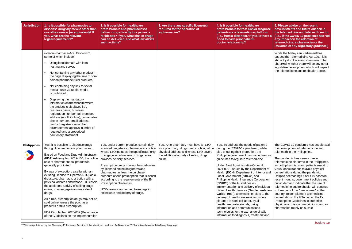| <b>Jurisdiction</b> | 1. Is it possible for pharmacies to<br>dispense drugs by means other than<br>over-the-counter (or equivalent)? If<br>yes, what are the relevant<br>legal requirements?                                                                                                                                                                                                                                                                                                                                                                                                                                                                                                                                                                                                 | 2. Is it possible for healthcare<br>professionals and pharmacies to<br>deliver drugs directly to a patient's<br>residence? If yes, what kind of drugs<br>can be delivered, and what law allows<br>such activity?                                                                                                                                                                                                                                                                            | 3. Are there any specific license(s)<br>required for the operation of<br>e-pharmacies?                                                     | 4. Is it possible for healthcare<br>professionals to treat and/or diagnose<br>patients via a telemedicine platform<br>(i.e., from a distance)? If yes, is there a<br>need to have prior patient-<br>doctor relationship?                                                                                                                                                                                                                                                                                                                                                                                                                                                                                                                                                                          |
|---------------------|------------------------------------------------------------------------------------------------------------------------------------------------------------------------------------------------------------------------------------------------------------------------------------------------------------------------------------------------------------------------------------------------------------------------------------------------------------------------------------------------------------------------------------------------------------------------------------------------------------------------------------------------------------------------------------------------------------------------------------------------------------------------|---------------------------------------------------------------------------------------------------------------------------------------------------------------------------------------------------------------------------------------------------------------------------------------------------------------------------------------------------------------------------------------------------------------------------------------------------------------------------------------------|--------------------------------------------------------------------------------------------------------------------------------------------|---------------------------------------------------------------------------------------------------------------------------------------------------------------------------------------------------------------------------------------------------------------------------------------------------------------------------------------------------------------------------------------------------------------------------------------------------------------------------------------------------------------------------------------------------------------------------------------------------------------------------------------------------------------------------------------------------------------------------------------------------------------------------------------------------|
| <b>Philippines</b>  | Poison Pharmaceutical Products <sup>22</sup> ,<br>some of which include:<br>Using local domain with local<br>$\bullet$<br>hosting and server.<br>Not containing any other product in<br>the page displaying the sale of non-<br>poison pharmaceutical products.<br>Not containing any link to social<br>media - sale via social media<br>is prohibited.<br>Displaying the mandatory<br>information on the website where<br>the product is displayed i.e.,<br>business name, business<br>registration number, full premises<br>address (not P.O. box), contactable<br>phone number, email address,<br>product registration number,<br>advertisement approval number (if<br>required) and a prescribed<br>cautionary statement.<br>Yes, it is possible to dispense drugs | Yes, under current practice, certain duly                                                                                                                                                                                                                                                                                                                                                                                                                                                   | Yes. An e-pharmacy must have an LTO                                                                                                        | Yes. To address the needs of patients                                                                                                                                                                                                                                                                                                                                                                                                                                                                                                                                                                                                                                                                                                                                                             |
|                     | through licensed online pharmacies.<br>Based on Food and Drug Administration<br>(FDA) Advisory No. 2019-154, the online<br>sale of pharmaceutical products is<br>generally prohibited.<br>By way of exception, a seller with an<br>existing License to Operate (LTO) as a<br>drugstore, pharmacy, or botica with a<br>physical address and whose LTO covers<br>the additional activity of selling drugs<br>online, may engage in online sale of<br>drugs.<br>As a rule, prescription drugs may not be<br>sold online, unless the purchaser<br>presents a valid prescription.<br>FDA Circular No. 2020-037 (Reissuance<br>of the Guidelines on the Implementation                                                                                                       | licensed drugstores, pharmacies or botica<br>whose LTO includes the specific authority<br>to engage in online sale of drugs, also<br>provides delivery services.<br>Prescription drugs may not be sold online<br>by licensed online drugstores and<br>pharmacies, unless the purchaser<br>presents a valid prescription that is issued<br>according to the requirements of the E-<br>Prescription Guidelines.<br>HCPs are not authorized to engage in<br>online sale and delivery of drugs. | as a pharmacy, drugstore or botica, with a<br>physical address and whose LTO covers<br>the additional activity of selling drugs<br>online. | during the COVID-19 pandemic, while<br>also ensuring their protection, the<br>Philippine government has issued various<br>guidelines to regulate telemedicine.<br>Under Joint Administrative Order No.<br>2021-0001 issued by the Department of<br>Health (DOH), Department of Interior and<br>Local Government ("DILG") and<br>Philippine Health Insurance Corporation<br>("PHIC") or the Guidelines on<br>Implementation and Delivery of Individual-<br><b>Based Health Services ("Implementation</b><br>Guidelines"), telemedicine refers to the<br>delivery of healthcare services, where<br>distance is a critical factor, by all<br>healthcare professionals, using<br>information and communications<br>technologies for the exchange of valid<br>information for diagnosis, treatment and |

<span id="page-6-0"></span> $\overline{a}$  $^{22}$  This was published by the Pharmacy Enforcement Division of the Ministry of Health on 24 December 2021 and is only available in Malay language.

| <b>ose</b><br>re a                                              | 5. Please advise on the recent<br>developments and future outlook in<br>the telemedicine and telehealth sector<br>(i.e., if the COVID-19 pandemic has had<br>any impact on the adoption of<br>telemedicine, e-pharmacies or the<br>issuance of any regulatory guidance.)                                                                                                                                                                                                                                                                                                                                                                                                                                                                              |
|-----------------------------------------------------------------|-------------------------------------------------------------------------------------------------------------------------------------------------------------------------------------------------------------------------------------------------------------------------------------------------------------------------------------------------------------------------------------------------------------------------------------------------------------------------------------------------------------------------------------------------------------------------------------------------------------------------------------------------------------------------------------------------------------------------------------------------------|
|                                                                 | While the Malaysian Parliament has<br>passed the Telemedicine Act 1997, it is<br>still not yet in force and it remains to be<br>observed whether there will be any other<br>legislative development which will impact<br>the telemedicine and telehealth sector.                                                                                                                                                                                                                                                                                                                                                                                                                                                                                      |
| S<br>ious<br>οf<br>and<br>on<br>lual-<br>ition<br>he<br>I<br>nd | The COVID-19 pandemic has accelerated<br>the development of telemedicine and<br>telehealth in the Philippines.<br>The pandemic has seen a rise in<br>telemedicine platforms in the Philippines,<br>as both physicians and patients resort to<br>virtual consultations to avoid physical<br>consultations during the pandemic.<br>Despite decreasing COVID-19 cases in<br>recent months, government policies and<br>public demand indicate that the use of<br>telemedicine and telehealth will continue<br>to form part of the "new normal" in the<br>country To complement telemedicine<br>consultations, the FDA issued the E-<br>Prescription Guidelines to authorize<br>physicians to issue prescriptions, and e-<br>pharmacies to rely on such e- |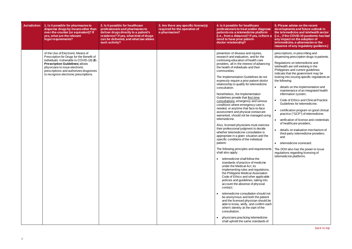| <b>Jurisdiction</b> | 1. Is it possible for pharmacies to<br>dispense drugs by means other than<br>over-the-counter (or equivalent)? If<br>yes, what are the relevant<br>legal requirements?                                                                                                                     | 2. Is it possible for healthcare<br>professionals and pharmacies to<br>deliver drugs directly to a patient's<br>residence? If yes, what kind of drugs<br>can be delivered, and what law allows<br>such activity? | 3. Are there any specific license(s)<br>required for the operation of<br>e-pharmacies? | 4. Is it possible for healthcare<br>professionals to treat and/or diagnose<br>patients via a telemedicine platform<br>(i.e., from a distance)? If yes, is there a<br>need to have prior patient-<br>doctor relationship?                                                                                                                                                                                                                                                                                                                                                                                                                                                                                                                                                                                                                                                                                                                                                                                                                                                                                                                                                                                                                                                                                                                                                                                                                                                                                                                                                                     | 5. Please advise on the recent<br>developments and future outlook in<br>the telemedicine and telehealth sector<br>(i.e., if the COVID-19 pandemic has had<br>any impact on the adoption of<br>telemedicine, e-pharmacies or the<br>issuance of any regulatory guidance.)                                                                                                                                                                                                                                                                                                                                                                                                                                                                                                                                                                                          |
|---------------------|--------------------------------------------------------------------------------------------------------------------------------------------------------------------------------------------------------------------------------------------------------------------------------------------|------------------------------------------------------------------------------------------------------------------------------------------------------------------------------------------------------------------|----------------------------------------------------------------------------------------|----------------------------------------------------------------------------------------------------------------------------------------------------------------------------------------------------------------------------------------------------------------------------------------------------------------------------------------------------------------------------------------------------------------------------------------------------------------------------------------------------------------------------------------------------------------------------------------------------------------------------------------------------------------------------------------------------------------------------------------------------------------------------------------------------------------------------------------------------------------------------------------------------------------------------------------------------------------------------------------------------------------------------------------------------------------------------------------------------------------------------------------------------------------------------------------------------------------------------------------------------------------------------------------------------------------------------------------------------------------------------------------------------------------------------------------------------------------------------------------------------------------------------------------------------------------------------------------------|-------------------------------------------------------------------------------------------------------------------------------------------------------------------------------------------------------------------------------------------------------------------------------------------------------------------------------------------------------------------------------------------------------------------------------------------------------------------------------------------------------------------------------------------------------------------------------------------------------------------------------------------------------------------------------------------------------------------------------------------------------------------------------------------------------------------------------------------------------------------|
|                     | of the Use of Electronic Means of<br>Prescription for Drugs for the Benefit of<br>Individuals Vulnerable to COVID-19) (E-<br><b>Prescription Guidelines) allows</b><br>physicians to issue electronic<br>prescriptions and authorizes drugstores<br>to recognize electronic prescriptions. |                                                                                                                                                                                                                  |                                                                                        | prevention of disease and injuries,<br>research and evaluation, and for the<br>continuing education of health care<br>providers, all in the interest of advancing<br>the health of individuals and their<br>communities.<br>The Implementation Guidelines do not<br>expressly require a prior patient-doctor<br>relationship to qualify for telemedicine<br>consultation.<br>Nonetheless, the Implementation<br>Guidelines provide that first-time<br>consultations, emergency and serious<br>conditions where emergency care is<br>needed, or anytime that face-to-face<br>assessment and physical contact are<br>warranted, should not be managed using<br>telemedicine.<br>Also, licensed physicians must exercise<br>their professional judgment to decide<br>whether telemedicine consultation is<br>appropriate in a given situation and the<br>specific conditions of the individual<br>patient.<br>The following principles and requirements<br>shall also apply:<br>telemedicine shall follow the<br>standards of practice of medicine<br>under the Medical Act, its<br>implementing rules and regulations,<br>the Philippine Medical Association<br>Code of Ethics and other applicable<br>policies and guidelines, taking into<br>account the absence of physical<br>contact;<br>telemedicine consultation should not<br>be anonymous and both the patient<br>and the licensed physician should be<br>able to know, verify, and confirm each<br>other's identity at the start of the<br>consultation;<br>physicians practicing telemedicine<br>shall uphold the same standards of | prescriptions, in prescribing and<br>dispensing prescription drugs to patients.<br>Regulations on telemedicine and<br>telehealth are still evolving in the<br>Philippines and current guidelines<br>indicate that the government may be<br>looking into issuing specific regulations on<br>the following:<br>details on the implementation and<br>maintenance of an integrated health<br>information system;<br>Code of Ethics and Clinical Practice<br>Guidelines for telemedicine;<br>certification program on good clinical<br>practice ("GCP") of telemedicine;<br>verification of license and credentials<br>of healthcare providers;<br>details on evaluation mechanism of<br>third-party telemedicine providers;<br>and<br>telemedicine scorecard.<br>The DOH also has the power to issue<br>regulations regarding licensing of<br>telemedicine platforms. |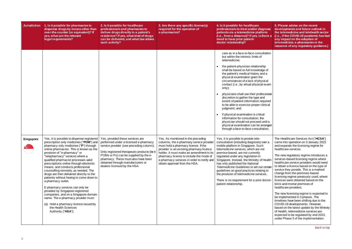<span id="page-8-0"></span>

| <b>Jurisdiction</b>             | 1. Is it possible for pharmacies to<br>dispense drugs by means other than<br>over-the-counter (or equivalent)? If<br>yes, what are the relevant<br>legal requirements?                                                                                                                                                                                                                                                                                                                                                                                                                                                                                                                                                 | 2. Is it possible for healthcare<br>professionals and pharmacies to<br>deliver drugs directly to a patient's<br>residence? If yes, what kind of drugs<br>can be delivered, and what law allows<br>such activity?                                                                      | 3. Are there any specific license(s)<br>required for the operation of<br>e-pharmacies?                                                                                                                                                                                                             | 4. Is it possible for healthcare<br>professionals to treat and/or diagnose<br>patients via a telemedicine platform<br>(i.e., from a distance)? If yes, is there a<br>need to have prior patient-<br>doctor relationship?                                                                                                                                                                                                                                                                                                                                                                                                                                                                                                                                                         | 5. Please advise on the recent<br>developments and future outlook in<br>the telemedicine and telehealth sector<br>(i.e., if the COVID-19 pandemic has had<br>any impact on the adoption of<br>telemedicine, e-pharmacies or the<br>issuance of any regulatory guidance.)                                                                                                                                                                                                                                                                                                                                                                                                                                                                                                                                                                  |
|---------------------------------|------------------------------------------------------------------------------------------------------------------------------------------------------------------------------------------------------------------------------------------------------------------------------------------------------------------------------------------------------------------------------------------------------------------------------------------------------------------------------------------------------------------------------------------------------------------------------------------------------------------------------------------------------------------------------------------------------------------------|---------------------------------------------------------------------------------------------------------------------------------------------------------------------------------------------------------------------------------------------------------------------------------------|----------------------------------------------------------------------------------------------------------------------------------------------------------------------------------------------------------------------------------------------------------------------------------------------------|----------------------------------------------------------------------------------------------------------------------------------------------------------------------------------------------------------------------------------------------------------------------------------------------------------------------------------------------------------------------------------------------------------------------------------------------------------------------------------------------------------------------------------------------------------------------------------------------------------------------------------------------------------------------------------------------------------------------------------------------------------------------------------|-------------------------------------------------------------------------------------------------------------------------------------------------------------------------------------------------------------------------------------------------------------------------------------------------------------------------------------------------------------------------------------------------------------------------------------------------------------------------------------------------------------------------------------------------------------------------------------------------------------------------------------------------------------------------------------------------------------------------------------------------------------------------------------------------------------------------------------------|
| <b>Singapore</b>                | Yes, it is possible to dispense registered                                                                                                                                                                                                                                                                                                                                                                                                                                                                                                                                                                                                                                                                             | Yes, provided these services are                                                                                                                                                                                                                                                      | Yes. As mentioned in the preceding                                                                                                                                                                                                                                                                 | care as in a face-to-face consultation<br>but within the intrinsic limits of<br>telemedicine;<br>the patient-physician relationship<br>shall be based on full knowledge of<br>the patient's medical history and a<br>physical examination given the<br>circumstances of a lack of physical<br>contact (i.e., by virtual physical exam<br>only);<br>physicians shall use their professional<br>discretion to gather the type and<br>extent of patient information required<br>to be able to exercise proper clinical<br>judgment; and<br>if physical examination is critical<br>information for consultation, the<br>physician should not proceed until a<br>physical examination can be arranged<br>through a face-to-face consultation.<br>Yes, it is possible to provide tele- | The Healthcare Services Act ("HCSA")                                                                                                                                                                                                                                                                                                                                                                                                                                                                                                                                                                                                                                                                                                                                                                                                      |
| $\left(\frac{d}{dx}\right)^{2}$ | prescription only medicines ("POM") and<br>pharmacy only medicines ("P") through<br>online pharmacies. This is known as the<br>provision of "e-pharmacy" or<br>"telepharmacy" services where a<br>qualified pharmacist processes valid<br>prescriptions online through electronic<br>means, and conducts professional<br>counselling remotely, as needed. The<br>drugs are then delivered directly to the<br>patients without having to come down to<br>a pharmacy outlet.<br>E-pharmacy services can only be<br>provided by Singapore-registered<br>companies, and on a Singapore domain<br>name. The e-pharmacy provider must:<br>(a) Hold a pharmacy licence issued by<br>the Health Sciences<br>Authority ("HSA"); | performed under a licensed e-pharmacy<br>service provider (see preceding column).<br>Only registered therapeutic products (be it<br>POMs or Ps) can be supplied by the e-<br>pharmacy. These must also have been<br>obtained through manufacturers or<br>dealers licensed by the HSA. | columns, the e-pharmacy service provider<br>must hold a pharmacy licence. If the<br>provider is an existing pharmacy licence<br>holder, it must make an amendment to its<br>pharmacy licence to include the mode of<br>e-pharmacy services in order to notify and<br>obtain approval from the HSA. | consultation (including diagnosis) over a<br>mobile platform in Singapore. Such<br>telemedicine services, which are not<br>premise-based, are not currently<br>regulated under any legislation in<br>Singapore. Instead, the Ministry of Health<br>has only published the National<br>Telemedicine Guidelines to set out certain<br>guidelines on good practices relating to<br>the provision of telemedicine services.<br>There is no requirement for a prior doctor<br>patient relationship.                                                                                                                                                                                                                                                                                   | came into operation on 3 January 2022<br>and expands the licensing regime for<br>healthcare services.<br>The new regulatory regime introduces a<br>services-based licensing regime where<br>healthcare service providers would need<br>to obtain a licence based on the type of<br>service they provide. This is a marked<br>change from the premises-based<br>licensing regime previously used, where<br>licences were obtained based on the<br>brick-and-mortar premises of<br>healthcare providers.<br>The new licensing regime is expected to<br>be implemented in 3 phases. The<br>timelines have been shifting due to the<br>COVID-19 developments. However,<br>based on the latest update by the Ministry<br>of Health, telemedicine services are<br>expected to be regulated by end 2023,<br>under Phase 3 of the implementation. |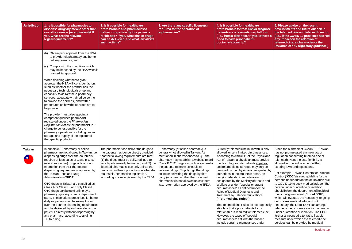<span id="page-9-0"></span>

| <b>Jurisdiction</b> | 1. Is it possible for pharmacies to<br>dispense drugs by means other than<br>over-the-counter (or equivalent)? If<br>yes, what are the relevant<br>legal requirements?                                                                                                                                                                                                                                                                                                                                                                                                                                                                                                                                                                                                                                                                                     | 2. Is it possible for healthcare<br>professionals and pharmacies to<br>deliver drugs directly to a patient's<br>residence? If yes, what kind of drugs<br>can be delivered, and what law allows<br>such activity?                                                                                                                                                                                         | 3. Are there any specific license(s)<br>required for the operation of<br>e-pharmacies?                                                                                                                                                                                                                                                                                                                                                                            | 4. Is it possible for healthcare<br>professionals to treat and/or diagnose<br>patients via a telemedicine platform<br>(i.e., from a distance)? If yes, is there a<br>need to have prior patient-<br>doctor relationship?                                                                                                                                                                                                                                                                                                                                                                                                                                                                                                                                                                                                                                              |
|---------------------|------------------------------------------------------------------------------------------------------------------------------------------------------------------------------------------------------------------------------------------------------------------------------------------------------------------------------------------------------------------------------------------------------------------------------------------------------------------------------------------------------------------------------------------------------------------------------------------------------------------------------------------------------------------------------------------------------------------------------------------------------------------------------------------------------------------------------------------------------------|----------------------------------------------------------------------------------------------------------------------------------------------------------------------------------------------------------------------------------------------------------------------------------------------------------------------------------------------------------------------------------------------------------|-------------------------------------------------------------------------------------------------------------------------------------------------------------------------------------------------------------------------------------------------------------------------------------------------------------------------------------------------------------------------------------------------------------------------------------------------------------------|-----------------------------------------------------------------------------------------------------------------------------------------------------------------------------------------------------------------------------------------------------------------------------------------------------------------------------------------------------------------------------------------------------------------------------------------------------------------------------------------------------------------------------------------------------------------------------------------------------------------------------------------------------------------------------------------------------------------------------------------------------------------------------------------------------------------------------------------------------------------------|
|                     | (b) Obtain prior approval from the HSA<br>to provide telepharmacy and home<br>delivery services; and<br>(c) Comply with the conditions which<br>may be imposed by the HSA when it<br>granted its approval.<br>When deciding whether to grant<br>approval, the HSA will consider factors<br>such as whether the provider has the<br>necessary technological set-up and<br>capability to deliver the e-pharmacy<br>services, adequately trained personnel<br>to provide the services, and written<br>procedures on how the services are to<br>be provided.<br>The provider must also appoint a<br>competent qualified pharmacist<br>registered under the Pharmacists<br>Registration Act as the pharmacist-in-<br>charge to be responsible for the<br>pharmacy operations, including proper<br>storage and supply of the registered<br>therapeutic products. |                                                                                                                                                                                                                                                                                                                                                                                                          |                                                                                                                                                                                                                                                                                                                                                                                                                                                                   |                                                                                                                                                                                                                                                                                                                                                                                                                                                                                                                                                                                                                                                                                                                                                                                                                                                                       |
| Taiwan              | In principle, E-pharmacy or online<br>pharmacy are not allowed in Taiwan. i.e,<br>dispensing drugs over-the-counter is<br>required unless sales of Class B OTC<br>(over-the-counter) drugs online or an<br>exemption from over-the-counter<br>dispensing requirement is approved by<br>the Taiwan Food and Drug<br>Administration (TFDA).<br>OTC drugs in Taiwan are classified as<br>Class A or Class B, and only Class B<br>OTC drugs can be sold online by a<br>pharmacy, grocery store or department<br>store. The solutions prescribed for home<br>dialysis patients can be exempt from<br>over-the-counter dispensing requirement<br>and be delivered by a wholesaler to the<br>patients directly without dispensing by<br>any pharmacy, according to a ruling<br>TFDA ruling.                                                                       | The pharmacist can deliver the drugs to<br>the patients' residence directly provided<br>that the following requirements are met:<br>(1) the drugs must be delivered face-to-<br>face by a licensed pharmacist; and (2) the<br>licensed pharmacist can only deliver the<br>drugs within the city/county where he/she<br>makes his/her practice registration,<br>according to a ruling issued by the TFDA. | E-pharmacy (or online pharmacy) is<br>generally not allowed in Taiwan. As<br>mentioned in our responses to Q1, the<br>pharmacy may establish a website to sell<br>Class B OTC drug or an online system for<br>the patients to make schedule for<br>receiving drugs. Supplying other drugs<br>online or delivering the drugs by third<br>party (any person other than licensed<br>pharmacist) is not allowed unless there<br>is an exemption approved by the TFDA. | Currently telemedicine in Taiwan is only<br>allowed for very limited circumstances.<br>According to Article 11 of the Physicians<br>Act of Taiwan, a physician must provide<br>medical diagnosis to patients in person<br>and telemedicine services may only be<br>provided by the physicians designated by<br>authorities in the mountain areas, on<br>outlying islands, in remote areas<br>designated by the Ministry of Health and<br>Welfare or under "special or urgent<br>circumstances" as defined under the<br>Rules of Medical Diagnosis and<br>Treatment by Telecommunications<br>("Telemedicine Rules").<br>The Telemedicine Rules do not expressly<br>stipulate that a prior patient-doctor<br>relationship is required for telemedicine.<br>However, the types of "special<br>circumstances" set forth thereunder<br>include certain circumstances under |

| nose<br>rm<br>ere a                             | 5. Please advise on the recent<br>developments and future outlook in<br>the telemedicine and telehealth sector<br>(i.e., if the COVID-19 pandemic has had<br>any impact on the adoption of<br>telemedicine, e-pharmacies or the<br>issuance of any regulatory guidance.)                  |
|-------------------------------------------------|-------------------------------------------------------------------------------------------------------------------------------------------------------------------------------------------------------------------------------------------------------------------------------------------|
|                                                 |                                                                                                                                                                                                                                                                                           |
|                                                 |                                                                                                                                                                                                                                                                                           |
|                                                 |                                                                                                                                                                                                                                                                                           |
|                                                 |                                                                                                                                                                                                                                                                                           |
|                                                 |                                                                                                                                                                                                                                                                                           |
| only<br>es.<br>ians<br>vide<br><u>son</u><br>be | Since the outbreak of COVID-19, Taiwan<br>has not promulgated any new law or<br>regulation concerning telemedicine or<br>telehealth. Nonetheless, flexibility is<br>allowed for the enforcement of the<br>existing laws and regulations.                                                  |
| ed by<br>٦<br>and                               | For example, Taiwan Centers for Disease<br>Control ("CDC") issued guideline for the<br>persons under quarantine or isolation due                                                                                                                                                          |
| €                                               | to COVID-19 to seek medical advice. The<br>person under quarantine or isolation<br>should inform the department of health of<br>municipal government ("Local DOH")<br>which will evaluate the necessity for going                                                                         |
| essly<br>ine.                                   | out to seek medical advice. If not<br>necessary, the Local DOH can arrange<br>telemedicine or home care for the person<br>under quarantine or isolation. The CDC<br>further announced a tentative flexible<br>measure under which the telemedicine<br>services can be provided by medical |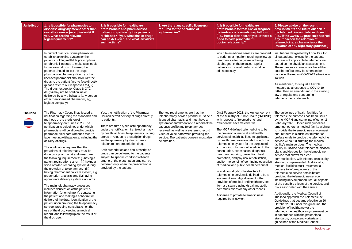<span id="page-10-0"></span>

| <b>Jurisdiction</b> | 1. Is it possible for pharmacies to<br>dispense drugs by means other than<br>over-the-counter (or equivalent)? If<br>yes, what are the relevant<br>legal requirements?                                                                                                                                                                                                                                                                                                                                                                                                                                                                                                                                                                                                                                                                                                                                                                                                                                                                                                                                                                                                                  | 2. Is it possible for healthcare<br>professionals and pharmacies to<br>deliver drugs directly to a patient's<br>residence? If yes, what kind of drugs<br>can be delivered, and what law allows<br>such activity?                                                                                                                                                                                                                                                                                                                                                                                                  | 3. Are there any specific license(s)<br>required for the operation of<br>e-pharmacies?                                                                                                                                                                                                                                                                  | 4. Is it possible for healthcare<br>professionals to treat and/or diagnose<br>patients via a telemedicine platform<br>(i.e., from a distance)? If yes, is there a<br>need to have prior patient-<br>doctor relationship?                                                                                                                                                                                                                                                                                                                                                                                                                                                                                                                                                                                                                                                                                                                                                       |
|---------------------|-----------------------------------------------------------------------------------------------------------------------------------------------------------------------------------------------------------------------------------------------------------------------------------------------------------------------------------------------------------------------------------------------------------------------------------------------------------------------------------------------------------------------------------------------------------------------------------------------------------------------------------------------------------------------------------------------------------------------------------------------------------------------------------------------------------------------------------------------------------------------------------------------------------------------------------------------------------------------------------------------------------------------------------------------------------------------------------------------------------------------------------------------------------------------------------------|-------------------------------------------------------------------------------------------------------------------------------------------------------------------------------------------------------------------------------------------------------------------------------------------------------------------------------------------------------------------------------------------------------------------------------------------------------------------------------------------------------------------------------------------------------------------------------------------------------------------|---------------------------------------------------------------------------------------------------------------------------------------------------------------------------------------------------------------------------------------------------------------------------------------------------------------------------------------------------------|--------------------------------------------------------------------------------------------------------------------------------------------------------------------------------------------------------------------------------------------------------------------------------------------------------------------------------------------------------------------------------------------------------------------------------------------------------------------------------------------------------------------------------------------------------------------------------------------------------------------------------------------------------------------------------------------------------------------------------------------------------------------------------------------------------------------------------------------------------------------------------------------------------------------------------------------------------------------------------|
|                     | In current practice, some pharmacies<br>establish an online system for the<br>patients holding refillable prescriptions<br>for chronic illnesses to make a schedule<br>for receiving drugs. However, the<br>patients should collect the drugs<br>physically in pharmacy directly or the<br>licensed pharmacist should deliver the<br>drugs to the patient face-to-face directly<br>(please refer to our responses to Q2).<br>The drugs (except for Class B OTC<br>drugs) may not be sold online or<br>delivered by any third party (any person<br>other than licensed pharmacist, eg,<br>logistic company).                                                                                                                                                                                                                                                                                                                                                                                                                                                                                                                                                                             |                                                                                                                                                                                                                                                                                                                                                                                                                                                                                                                                                                                                                   |                                                                                                                                                                                                                                                                                                                                                         | which telemedicine services are provided<br>to patients or inpatient requiring follow up<br>treatments after diagnosis or being<br>discharged. In these cases, a prior<br>patient-doctor relationship should be<br>still necessary.                                                                                                                                                                                                                                                                                                                                                                                                                                                                                                                                                                                                                                                                                                                                            |
| <b>Thailand</b>     | The Pharmacy Council has issued a<br>notification regarding the standards and<br>methods of the provision of<br>telepharmacy on 2 June 2020. The<br>notification is guidelines under which<br>pharmacists will be allowed to provide<br>pharmaceutical care without a face-to-<br>face meeting with patients, including the<br>delivery of drugs.<br>The notification requires that the<br>provisions of telepharmacy must be<br>done by a pharmacist and must meet<br>the following requirements: (i) having a<br>patient registration system, (ii) having a<br>voice or video recording system during<br>the provision of telepharmacy, (iii)<br>having pharmaceutical care system, e.g.<br>prescription analysis, and (iv) having<br>appropriate delivery system standards.<br>The main telepharmacy processes<br>includes verification of the patient's<br>information (or enrollment), contacting<br>the patient and making a schedule for<br>delivery of the drug, identification of the<br>patient upon providing the telepharmacy<br>service, providing consultation on the<br>use of the drug, keeping a medical<br>record, and following up on the result of<br>the drug use. | Yes, the notification of the Pharmacy<br>Council permit delivery of drugs directly<br>to patients.<br>There are three types of telepharmacy<br>under the notification, i.e. telepharmacy<br>by health facilities, telepharmacy by drug<br>stores in relation to prescription drugs,<br>and telepharmacy by drug stores in<br>relation to non-prescription drugs.<br>Both prescription and non-prescription<br>drugs can be delivered to the patients,<br>subject to specific conditions of each<br>drug, e.g. the prescription drug can be<br>delivered only when the prescription is<br>provided by the patient. | The key requirements are that the<br>telepharmacy service provider must be a<br>licensed pharmacist and must have a<br>system for enrollment and a record of the<br>patient's profile and telepharmacy<br>received, as well as a system to record<br>video or voice data when providing the<br>service. The patient's consent must also<br>be obtained. | On 2 February 2021, the Announcement<br>of the Ministry of Public Health ("MOPH")<br>with respect to "telemedicine" and<br>"telehealth" became effective.<br>The MOPH defined telemedicine to be<br>the provision of medical and health<br>services of health facilities to applicants<br>by healthcare professionals through the<br>telemedicine system for the purpose of<br>exchanging information beneficial to the<br>consultation, examination, diagnosis,<br>treatment, nursing, prevention, health<br>promotion, and physical rehabilitation,<br>and for the benefit of continuing education<br>of medical and public health personnel.<br>In addition, digital infrastructure for<br>telemedicine services is defined to be a<br>system utilizing digitalization for the<br>provision of medical and health services<br>from a distance using visual and audio<br>communications or any other means.<br>A license to provide telemedicine is<br>required from now on. |

| ose<br>n<br>re a                                                           | 5. Please advise on the recent<br>developments and future outlook in<br>the telemedicine and telehealth sector<br>(i.e., if the COVID-19 pandemic has had<br>any impact on the adoption of<br>telemedicine, e-pharmacies or the<br>issuance of any regulatory guidance.)                                                                                                                                                                                                                                                                                                                                                                                                                                                                                                                                                                                                                                 |
|----------------------------------------------------------------------------|----------------------------------------------------------------------------------------------------------------------------------------------------------------------------------------------------------------------------------------------------------------------------------------------------------------------------------------------------------------------------------------------------------------------------------------------------------------------------------------------------------------------------------------------------------------------------------------------------------------------------------------------------------------------------------------------------------------------------------------------------------------------------------------------------------------------------------------------------------------------------------------------------------|
| ded<br>up/                                                                 | institutions designated by Local DOH to<br>all outpatients, except for the patients<br>who are not applicable to telemedicine<br>based on the physician's assessment.<br>These measures remain valid as of the<br>date hereof but may be amended or<br>cancelled based on COVID-19 situation in<br>Taiwan.<br>As mentioned, this is just a flexible<br>measure as a response to COVID-19<br>rather than an amendment to the existing<br>law or regulations concerning<br>telemedicine or telehealth.                                                                                                                                                                                                                                                                                                                                                                                                     |
| ent<br><b>H")</b><br>э<br>ıts<br>he<br>٦f<br>he<br>ation<br>эl.<br>а<br>es | The guidelines of health facilities for<br>telemedicine purposes has been issued<br>by the MOPH and came into effect on 2<br>February 2021. Under such guidelines,<br>amongst others, a medical facility wishing<br>to provide the telemedicine service must<br>ensure there is a sufficient number of<br>professionals to provide the telemedicine<br>service without disrupting the medical<br>facility's main services. The medical<br>facility must also have telecommunication<br>plans and devices for the telemedicine<br>service that allows for clear<br>communication, with information security<br>standards implemented. Additionally,<br>medical facilities must implement a<br>process to inform patients of the<br>telemedicine service details before<br>providing the telemedicine service,<br>including service procedures, all aspects<br>of the possible effects of the service, and |
| С                                                                          | risks associated with the service.<br>Additionally, the Medical Council of<br>Thailand approved the Telemedicine<br>Guidelines that became effective on 20<br>October 2020, under this guideline, the<br>provision of healthcare via the<br>telemedicine healthcare system must be<br>in accordance with the professional<br>standards, competency criteria and<br>guidelines of the Medical Council.                                                                                                                                                                                                                                                                                                                                                                                                                                                                                                    |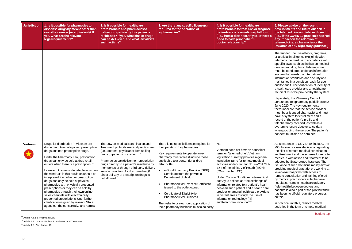| <b>Jurisdiction</b> | 1. Is it possible for pharmacies to<br>dispense drugs by means other than<br>over-the-counter (or equivalent)? If<br>yes, what are the relevant<br>legal requirements?                                                                                                                                                                                                                                                                                                                                                                                                                                                                                                                                                               | 2. Is it possible for healthcare<br>professionals and pharmacies to<br>deliver drugs directly to a patient's<br>residence? If yes, what kind of drugs<br>can be delivered, and what law allows<br>such activity?                                                                                                                                                                                                         | 3. Are there any specific license(s)<br>required for the operation of<br>e-pharmacies?                                                                                                                                                                                                                                                                                                                                                                                                                                                                  | 4. Is it possible for healthcare<br>professionals to treat and/or diagnose<br>patients via a telemedicine platform<br>(i.e., from a distance)? If yes, is there a<br>need to have prior patient-<br>doctor relationship?                                                                                                                                                                                                                                                                                                                                                                                            | 5. Please advise on the recent<br>developments and future outlook in<br>the telemedicine and telehealth sector<br>(i.e., if the COVID-19 pandemic has had<br>any impact on the adoption of<br>telemedicine, e-pharmacies or the<br>issuance of any regulatory guidance.)                                                                                                                                                                                                                                                                                                                                                                                                                                                                                                                                                                                                                                                                                                                |
|---------------------|--------------------------------------------------------------------------------------------------------------------------------------------------------------------------------------------------------------------------------------------------------------------------------------------------------------------------------------------------------------------------------------------------------------------------------------------------------------------------------------------------------------------------------------------------------------------------------------------------------------------------------------------------------------------------------------------------------------------------------------|--------------------------------------------------------------------------------------------------------------------------------------------------------------------------------------------------------------------------------------------------------------------------------------------------------------------------------------------------------------------------------------------------------------------------|---------------------------------------------------------------------------------------------------------------------------------------------------------------------------------------------------------------------------------------------------------------------------------------------------------------------------------------------------------------------------------------------------------------------------------------------------------------------------------------------------------------------------------------------------------|---------------------------------------------------------------------------------------------------------------------------------------------------------------------------------------------------------------------------------------------------------------------------------------------------------------------------------------------------------------------------------------------------------------------------------------------------------------------------------------------------------------------------------------------------------------------------------------------------------------------|-----------------------------------------------------------------------------------------------------------------------------------------------------------------------------------------------------------------------------------------------------------------------------------------------------------------------------------------------------------------------------------------------------------------------------------------------------------------------------------------------------------------------------------------------------------------------------------------------------------------------------------------------------------------------------------------------------------------------------------------------------------------------------------------------------------------------------------------------------------------------------------------------------------------------------------------------------------------------------------------|
|                     |                                                                                                                                                                                                                                                                                                                                                                                                                                                                                                                                                                                                                                                                                                                                      |                                                                                                                                                                                                                                                                                                                                                                                                                          |                                                                                                                                                                                                                                                                                                                                                                                                                                                                                                                                                         |                                                                                                                                                                                                                                                                                                                                                                                                                                                                                                                                                                                                                     | Thereunder, the use of tools, programs,<br>or artificial intelligence (AI) jointly with<br>telemedicine must be in accordance with<br>specific laws, such as the law on medical<br>devices and drug laws. Telemedicine<br>must be conducted under an information<br>system that meets the international<br>information standards and security and<br>maintained in a condition ready for use<br>and for audit. The verification of identity of<br>a healthcare provider and a healthcare<br>recipient must be provided by the system.<br>Separately, the Pharmacy Council<br>announced telepharmacy guidelines on 2<br>June 2020. The key requirements<br>thereunder are that the service provider<br>must be a licensed pharmacist and must<br>have a system for enrollment and a<br>record of the patient's profile and<br>telepharmacy received, as well as a<br>system to record video or voice data<br>when providing the service. The patient's<br>consent must also be obtained. |
| Vietnam             | Drugs for distribution in Vietnam are<br>divided into two categories: prescription<br>drugs and non-prescription drugs.<br>Under the Pharmacy Law, prescription<br>drugs can only be sold at drug retail<br>outlets when there is a prescription. <sup>24</sup><br>However, it remains debatable as to how<br>the word "at" in this provision should be<br>interpreted, i.e., whether prescription<br>drugs can only be sold at physical<br>pharmacies with physically presented<br>prescriptions or they can be sold by<br>pharmacies through their own online<br>sales channels with electronically<br>presented prescriptions. Until further<br>clarification is given by relevant State<br>agencies, the conservative and narrow | The Law on Medical Examination and<br>Treatment prohibits medical practitioners<br>(i.e., doctors, physicians) from selling<br>drugs to patients in any form. <sup>25</sup><br>Pharmacies can deliver non-prescription<br>drugs directly to a patient's residence by<br>themselves or through third party delivery<br>service providers. As discussed in Q1,<br>direct delivery of prescription drugs is<br>not allowed. | There is no specific license required for<br>the operation of e-pharmacies.<br>Key requirements to operate an e-<br>pharmacy must at least include those<br>applicable to a conventional drug<br>retail outlet:<br>a Good Pharmacy Practice (GPP)<br>Certificate from the provincial<br>Department of Health;<br><b>Pharmaceutical Practice Certificate</b><br>issued to the outlet owner;<br>Certificate of Eligibility for<br><b>Pharmaceutical Business.</b><br>The website or electronic application of<br>the e-pharmacy business must also notify | No.<br>Vietnam does not have an equivalent<br>term for "telemedicine". Vietnam<br>legislation currently provides a general<br>legislative frame for remote medical<br>activities under Circular No. 49/2017/TT-<br>BYT of the Ministry of Health (MOH)<br>("Circular No. 49").<br>Under Circular No. 49, remote medical<br>activity is defined as "the exchange of<br>information related to a patient's health<br>between such patient and a health care<br>provider or among health care providers<br>in distant areas through the use of<br>information technology (IT)<br>and telecommunication." <sup>26</sup> | As a response to COVID-19, in 2020, the<br>MOH issued several decisions regulating<br>the pilot of remote medical examination<br>and treatment and the scheme for remote<br>medical examination and treatment to be<br>adopted by State-owned hospitals. The<br>issuance of such decisions mostly aims at<br>providing medical practitioners working at<br>lower-level hospitals with access to<br>remote consultation and training offered<br>by medical practitioners at higher-level<br>hospitals. Remote healthcare advisory<br>(tele-health) between doctors and<br>patients is also a part of the pilot but there<br>has been no official regulatory progress<br>on this.<br>In practice, in 2021, remote medical<br>activities in the form of remote medical                                                                                                                                                                                                                     |

<span id="page-11-0"></span>l  $^{24}$  Article 42.2.p, Pharmacy Law.

 $^{25}$  Article 6.5, Law on Medical Examination and Treatment.

<sup>26</sup> Article 2.1, Circular No. 49.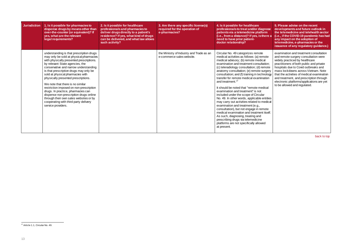| <b>Jurisdiction</b> | 1. Is it possible for pharmacies to<br>dispense drugs by means other than<br>over-the-counter (or equivalent)? If<br>yes, what are the relevant<br>legal requirements?                                                                                                                                                                                                                                                                                                                                                                                                                                   | 2. Is it possible for healthcare<br>professionals and pharmacies to<br>deliver drugs directly to a patient's<br>residence? If yes, what kind of drugs<br>can be delivered, and what law allows<br>such activity? | 3. Are there any specific license(s)<br>required for the operation of<br>e-pharmacies? | 4. Is it possible for healthcare<br>professionals to treat and/or diagnose<br>patients via a telemedicine platform<br>(i.e., from a distance)? If yes, is there a<br>need to have prior patient-<br>doctor relationship?                                                                                                                                                                                                                                                                                                                                                                                                                                                                                                                                                                                                                                                      | 5. Please advise on the recent<br>developments and future outlook in<br>the telemedicine and telehealth sector<br>(i.e., if the COVID-19 pandemic has had<br>any impact on the adoption of<br>telemedicine, e-pharmacies or the<br>issuance of any regulatory guidance.)                                                                                                                                          |
|---------------------|----------------------------------------------------------------------------------------------------------------------------------------------------------------------------------------------------------------------------------------------------------------------------------------------------------------------------------------------------------------------------------------------------------------------------------------------------------------------------------------------------------------------------------------------------------------------------------------------------------|------------------------------------------------------------------------------------------------------------------------------------------------------------------------------------------------------------------|----------------------------------------------------------------------------------------|-------------------------------------------------------------------------------------------------------------------------------------------------------------------------------------------------------------------------------------------------------------------------------------------------------------------------------------------------------------------------------------------------------------------------------------------------------------------------------------------------------------------------------------------------------------------------------------------------------------------------------------------------------------------------------------------------------------------------------------------------------------------------------------------------------------------------------------------------------------------------------|-------------------------------------------------------------------------------------------------------------------------------------------------------------------------------------------------------------------------------------------------------------------------------------------------------------------------------------------------------------------------------------------------------------------|
|                     | understanding is that prescription drugs<br>may only be sold at physical pharmacies<br>with physically presented prescriptions.<br>by relevant State agencies, the<br>conservative and narrow understanding<br>is that prescription drugs may only be<br>sold at physical pharmacies with<br>physically presented prescriptions.<br>We note that there is no similar<br>restriction imposed on non-prescription<br>drugs. In practice, pharmacies can<br>dispense non-prescription drugs online<br>through their own sales websites or by<br>cooperating with third party delivery<br>service providers. |                                                                                                                                                                                                                  | the Ministry of Industry and Trade as an<br>e-commerce sales website.                  | Circular No. 49 categorizes remote<br>medical activities as follows: (a) remote<br>medical advisory; (b) remote medical<br>examination and treatment consultation:<br>(c) teleradiology consultation; (d) remote<br>anatomy consultation; (e) remote surgery<br>consultation; and (f) training in technology<br>transfer for remote medical examination<br>and treatment. <sup>27</sup><br>It should be noted that "remote medical<br>examination and treatment" is not<br>included under the scope of Circular<br>No. 49. In other words, applicable entities<br>may carry out activities related to medical<br>examination and treatment (e.g.,<br>consultation), but not engage in remote<br>medical examination and treatment itself.<br>As such, diagnosing, treating and<br>prescribing drugs via telemedicine<br>platforms are not specifically allowed<br>at present. | examination and treatment consultation<br>and remote surgery consultation were<br>widely practiced by healthcare<br>practitioners of both public and private<br>hospitals due to Covid outbreaks and<br>mass lockdowns across Vietnam. Note<br>that the activities of medical examination<br>and treatment, and prescription through<br>electronic platforms/applications are yet<br>to be allowed and regulated. |

 $\overline{a}$  $^{27}$  Article 1.1, Circular No. 49.